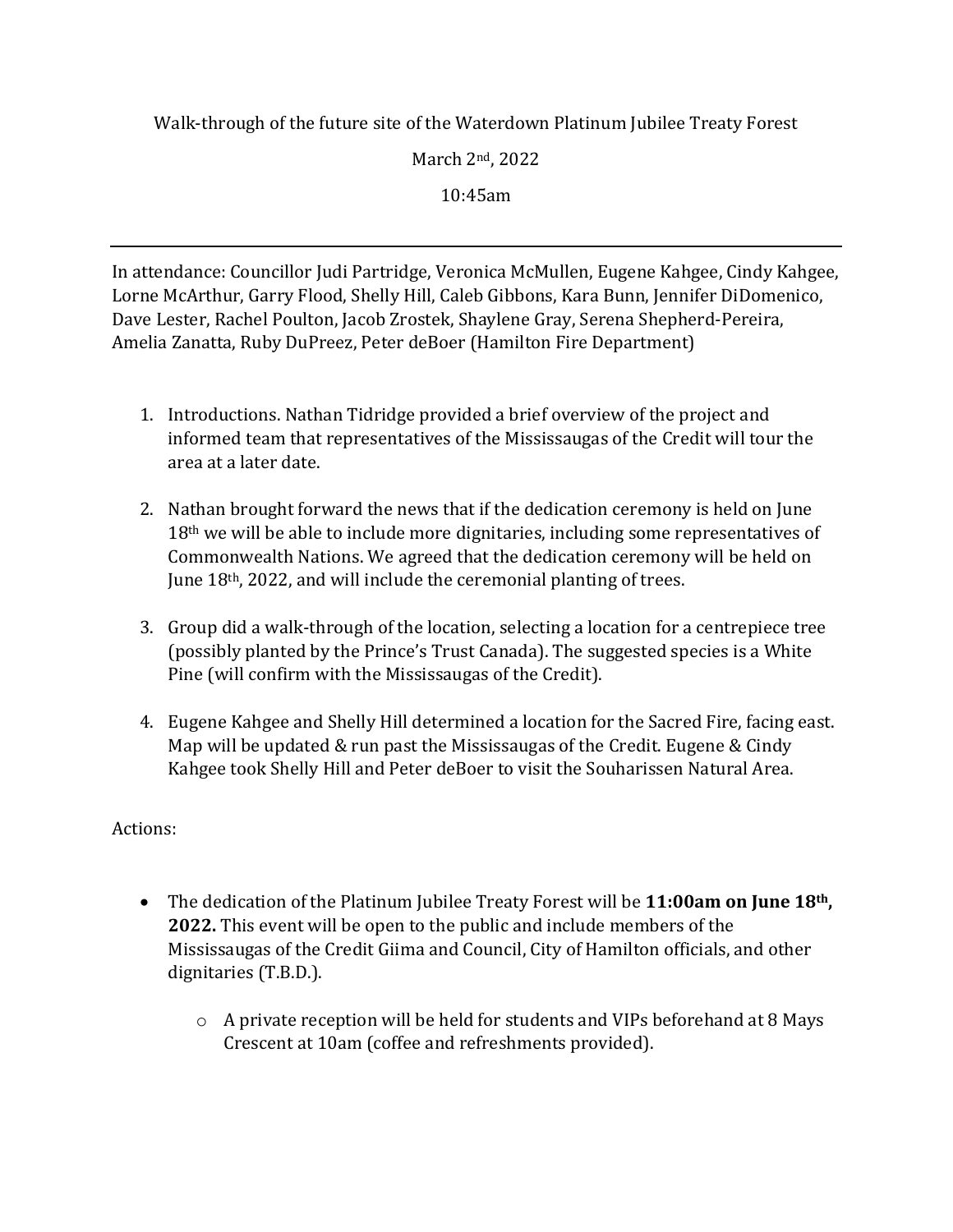Walk-through of the future site of the Waterdown Platinum Jubilee Treaty Forest

March 2nd, 2022

10:45am

In attendance: Councillor Judi Partridge, Veronica McMullen, Eugene Kahgee, Cindy Kahgee, Lorne McArthur, Garry Flood, Shelly Hill, Caleb Gibbons, Kara Bunn, Jennifer DiDomenico, Dave Lester, Rachel Poulton, Jacob Zrostek, Shaylene Gray, Serena Shepherd-Pereira, Amelia Zanatta, Ruby DuPreez, Peter deBoer (Hamilton Fire Department)

- 1. Introductions. Nathan Tidridge provided a brief overview of the project and informed team that representatives of the Mississaugas of the Credit will tour the area at a later date.
- 2. Nathan brought forward the news that if the dedication ceremony is held on June  $18<sup>th</sup>$  we will be able to include more dignitaries, including some representatives of Commonwealth Nations. We agreed that the dedication ceremony will be held on June 18<sup>th</sup>, 2022, and will include the ceremonial planting of trees.
- 3. Group did a walk-through of the location, selecting a location for a centrepiece tree (possibly planted by the Prince's Trust Canada). The suggested species is a White Pine (will confirm with the Mississaugas of the Credit).
- 4. Eugene Kahgee and Shelly Hill determined a location for the Sacred Fire, facing east. Map will be updated & run past the Mississaugas of the Credit. Eugene & Cindy Kahgee took Shelly Hill and Peter deBoer to visit the Souharissen Natural Area.

## Actions:

- The dedication of the Platinum Jubilee Treaty Forest will be **11:00am on June 18th, 2022.** This event will be open to the public and include members of the Mississaugas of the Credit Giima and Council, City of Hamilton officials, and other dignitaries (T.B.D.).
	- $\circ$  A private reception will be held for students and VIPs beforehand at 8 Mays Crescent at 10am (coffee and refreshments provided).